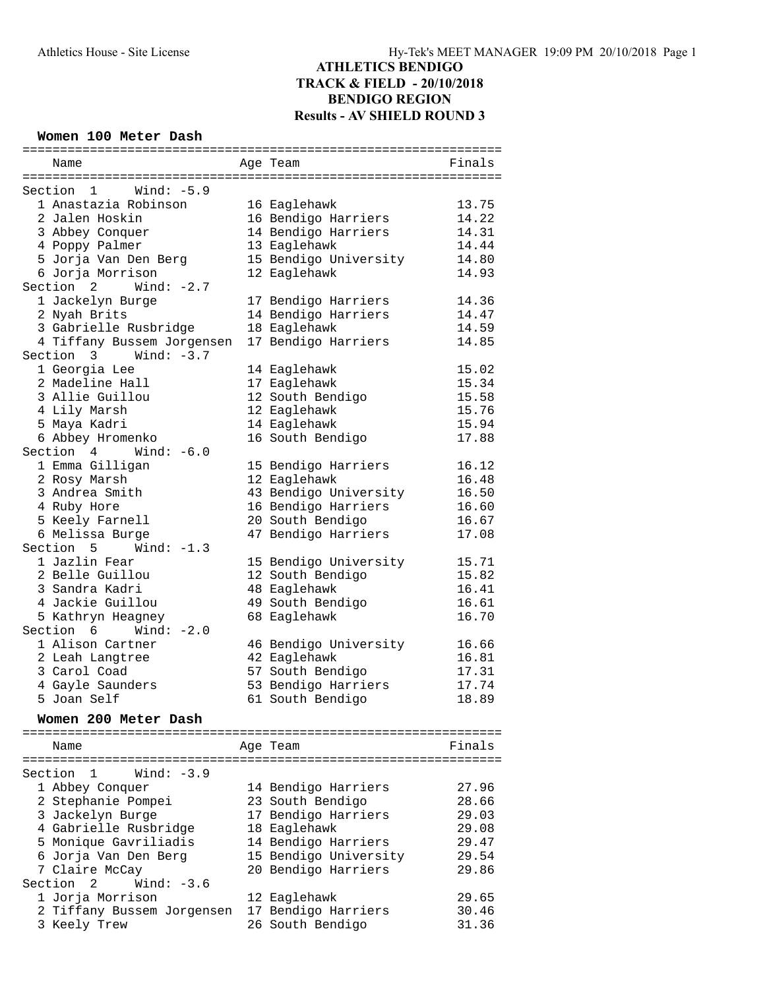#### **Women 100 Meter Dash**

| Name                                          | Age Team              | Finals |
|-----------------------------------------------|-----------------------|--------|
|                                               |                       |        |
| Section 1 Wind: -5.9                          |                       |        |
| 1 Anastazia Robinson                          | 16 Eaglehawk          | 13.75  |
| 2 Jalen Hoskin                                | 16 Bendigo Harriers   | 14.22  |
| 3 Abbey Conquer                               | 14 Bendigo Harriers   | 14.31  |
| 4 Poppy Palmer                                | 13 Eaglehawk          | 14.44  |
| 5 Jorja Van Den Berg                          | 15 Bendigo University | 14.80  |
| 6 Jorja Morrison                              | 12 Eaglehawk          | 14.93  |
| Section $2$ Wind: $-2.7$                      |                       |        |
| 1 Jackelyn Burge                              | 17 Bendigo Harriers   | 14.36  |
| 2 Nyah Brits                                  | 14 Bendigo Harriers   | 14.47  |
| 3 Gabrielle Rusbridge                         | 18 Eaglehawk          | 14.59  |
| 4 Tiffany Bussem Jorgensen                    | 17 Bendigo Harriers   | 14.85  |
| Section 3<br>Wind: $-3.7$                     |                       |        |
| 1 Georgia Lee                                 |                       | 15.02  |
|                                               | 14 Eaglehawk          |        |
| 2 Madeline Hall                               | 17 Eaglehawk          | 15.34  |
| 3 Allie Guillou                               | 12 South Bendigo      | 15.58  |
| 4 Lily Marsh                                  | 12 Eaglehawk          | 15.76  |
| 5 Maya Kadri                                  | 14 Eaglehawk          | 15.94  |
| 6 Abbey Hromenko                              | 16 South Bendigo      | 17.88  |
| Section 4 Wind: -6.0                          |                       |        |
| 1 Emma Gilligan                               | 15 Bendigo Harriers   | 16.12  |
| 2 Rosy Marsh                                  | 12 Eaglehawk          | 16.48  |
| 3 Andrea Smith                                | 43 Bendigo University | 16.50  |
| 4 Ruby Hore                                   | 16 Bendigo Harriers   | 16.60  |
| 5 Keely Farnell                               | 20 South Bendigo      | 16.67  |
| 6 Melissa Burge                               | 47 Bendigo Harriers   | 17.08  |
| Section $5$ Wind: $-1.3$                      |                       |        |
| 1 Jazlin Fear                                 | 15 Bendigo University | 15.71  |
| 2 Belle Guillou                               | 12 South Bendigo      | 15.82  |
| 3 Sandra Kadri                                | 48 Eaglehawk          | 16.41  |
| 4 Jackie Guillou                              | 49 South Bendigo      | 16.61  |
|                                               | 68 Eaglehawk          | 16.70  |
| 5 Kathryn Heagney<br>Section $6$ Wind: $-2.0$ |                       |        |
|                                               |                       |        |
| 1 Alison Cartner                              | 46 Bendigo University | 16.66  |
| 2 Leah Langtree                               | 42 Eaglehawk          | 16.81  |
| 3 Carol Coad                                  | 57 South Bendigo      | 17.31  |
| 4 Gayle Saunders                              | 53 Bendigo Harriers   | 17.74  |
| 5 Joan Self                                   | 61 South Bendigo      | 18.89  |
| Women 200 Meter Dash                          |                       |        |
|                                               |                       |        |
| Name                                          | Age Team              | Finals |
|                                               |                       |        |
| Wind: $-3.9$<br>Section<br>1                  |                       |        |
| 1 Abbey Conquer                               | 14 Bendigo Harriers   | 27.96  |
| 2 Stephanie Pompei                            | 23 South Bendigo      | 28.66  |
| 3 Jackelyn Burge                              | 17 Bendigo Harriers   | 29.03  |
| 4 Gabrielle Rusbridge                         | 18 Eaglehawk          | 29.08  |
| 5 Monique Gavriliadis                         | 14 Bendigo Harriers   | 29.47  |
| 6 Jorja Van Den Berg                          | 15 Bendigo University | 29.54  |
| 7 Claire McCay                                | 20 Bendigo Harriers   | 29.86  |
| Section<br>2<br>Wind: $-3.6$                  |                       |        |
| 1 Jorja Morrison                              |                       | 29.65  |
|                                               | 12 Eaglehawk          |        |
| 2 Tiffany Bussem Jorgensen                    | 17 Bendigo Harriers   | 30.46  |
| 3 Keely Trew                                  | 26 South Bendigo      | 31.36  |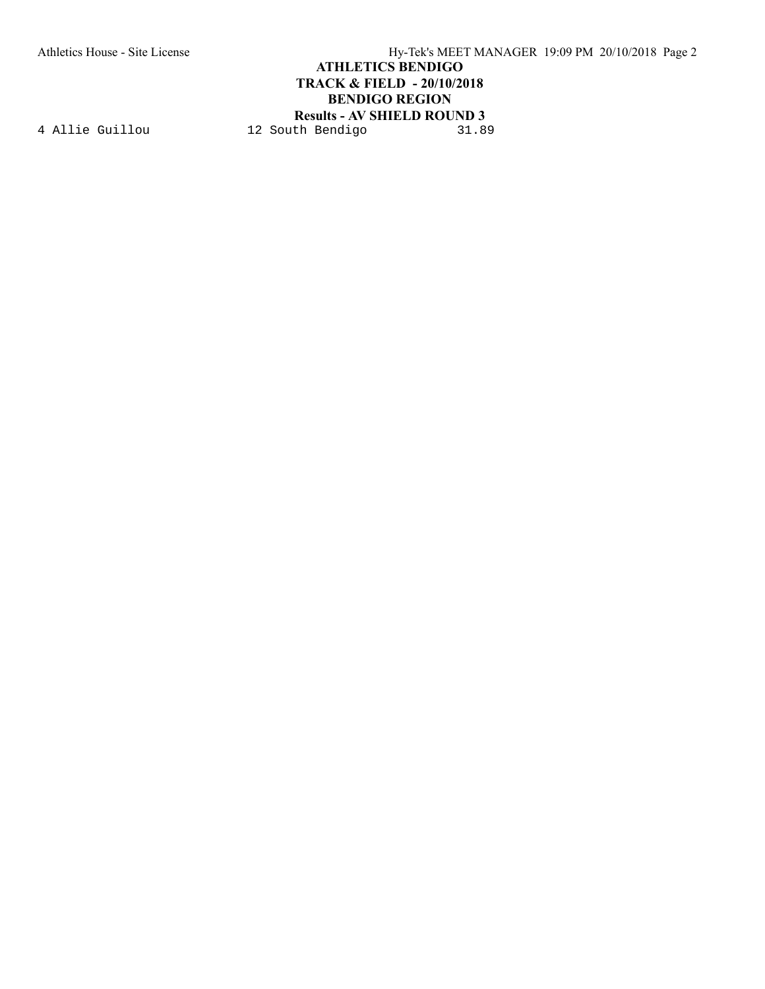Athletics House - Site License Hy-Tek's MEET MANAGER 19:09 PM 20/10/2018 Page 2 **ATHLETICS BENDIGO TRACK & FIELD - 20/10/2018 BENDIGO REGION Results - AV SHIELD ROUND 3**<br>th Bendigo 31.89

4 Allie Guillou 12 South Bendigo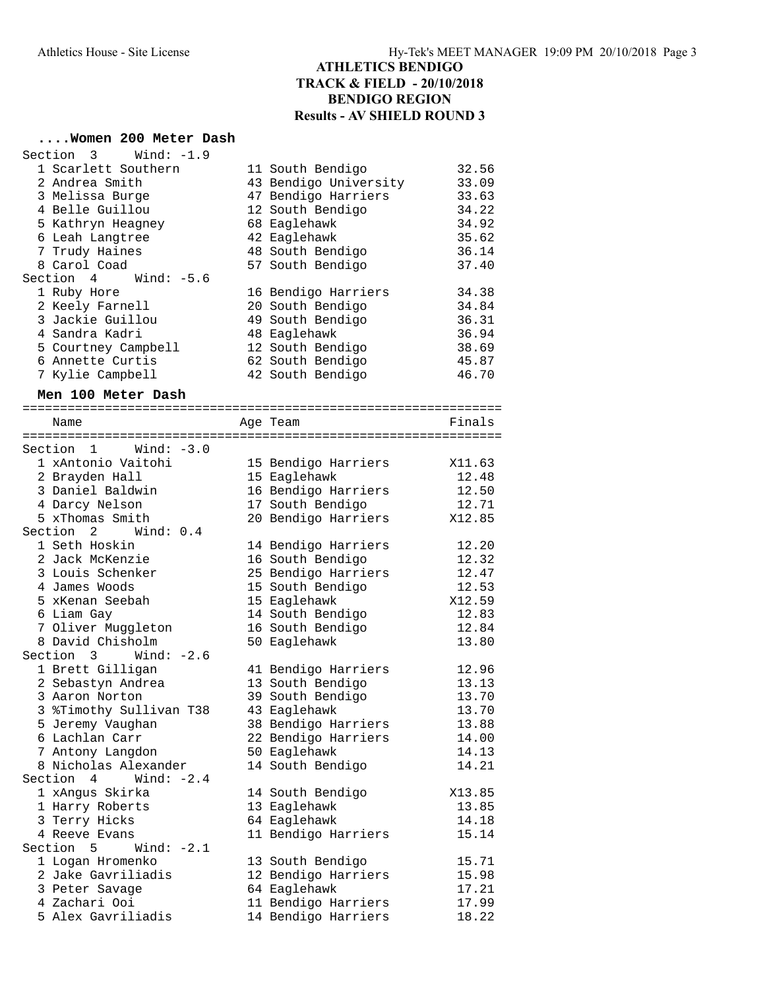# **....Women 200 Meter Dash**

| Section 3 Wind: -1.9         |                       |        |
|------------------------------|-----------------------|--------|
| 1 Scarlett Southern          | 11 South Bendigo      | 32.56  |
| 2 Andrea Smith               | 43 Bendigo University | 33.09  |
| 3 Melissa Burge              | 47 Bendigo Harriers   | 33.63  |
| 4 Belle Guillou              | 12 South Bendigo      | 34.22  |
| 5 Kathryn Heagney            | 68 Eaglehawk          | 34.92  |
| 6 Leah Langtree              | 42 Eaglehawk          | 35.62  |
| 7 Trudy Haines               | 48 South Bendigo      | 36.14  |
| 8 Carol Coad                 | 57 South Bendigo      | 37.40  |
| Wind: -5.6<br>Section 4      |                       |        |
| 1 Ruby Hore                  | 16 Bendigo Harriers   | 34.38  |
| 2 Keely Farnell              | 20 South Bendigo      | 34.84  |
| 3 Jackie Guillou             | 49 South Bendigo      | 36.31  |
| 4 Sandra Kadri               | 48 Eaglehawk          | 36.94  |
| 5 Courtney Campbell          | 12 South Bendigo      | 38.69  |
| 6 Annette Curtis             | 62 South Bendigo      | 45.87  |
| 7 Kylie Campbell             | 42 South Bendigo      | 46.70  |
| Men 100 Meter Dash           |                       |        |
|                              |                       |        |
| Name                         | Age Team              | Finals |
|                              |                       |        |
| Wind: $-3.0$<br>Section 1    |                       |        |
| 1 xAntonio Vaitohi           | 15 Bendigo Harriers   | X11.63 |
| 2 Brayden Hall               | 15 Eaglehawk          | 12.48  |
| 3 Daniel Baldwin             | 16 Bendigo Harriers   | 12.50  |
| 4 Darcy Nelson               | 17 South Bendigo      | 12.71  |
| 5 xThomas Smith              | 20 Bendigo Harriers   | X12.85 |
| Section 2<br>Wind: $0.4$     |                       |        |
| 1 Seth Hoskin                | 14 Bendigo Harriers   | 12.20  |
| 2 Jack McKenzie              | 16 South Bendigo      | 12.32  |
| 3 Louis Schenker             | 25 Bendigo Harriers   | 12.47  |
| 4 James Woods                | 15 South Bendigo      | 12.53  |
| 5 xKenan Seebah              | 15 Eaglehawk          | X12.59 |
| 6 Liam Gay                   | 14 South Bendigo      | 12.83  |
| 7 Oliver Muggleton           | 16 South Bendigo      | 12.84  |
| 8 David Chisholm             | 50 Eaglehawk          | 13.80  |
| Section $3$ Wind: $-2.6$     |                       |        |
| 1 Brett Gilligan             | 41 Bendigo Harriers   | 12.96  |
| 2 Sebastyn Andrea            | 13 South Bendigo      | 13.13  |
| 3 Aaron Norton               | 39 South Bendigo      | 13.70  |
| 3 %Timothy Sullivan T38      | 43 Eaglehawk          | 13.70  |
| 5 Jeremy Vaughan             | 38 Bendigo Harriers   | 13.88  |
| 6 Lachlan Carr               | 22 Bendigo Harriers   | 14.00  |
| 7 Antony Langdon             | 50 Eaglehawk          | 14.13  |
| 8 Nicholas Alexander         | 14 South Bendigo      | 14.21  |
| Section 4<br>Wind: $-2.4$    |                       |        |
| 1 xAngus Skirka              | 14 South Bendigo      | X13.85 |
| 1 Harry Roberts              | 13 Eaglehawk          | 13.85  |
| 3 Terry Hicks                | 64 Eaglehawk          | 14.18  |
| 4 Reeve Evans                | 11 Bendigo Harriers   | 15.14  |
| Section<br>5<br>Wind: $-2.1$ |                       |        |
| 1 Logan Hromenko             | 13 South Bendigo      | 15.71  |
| 2 Jake Gavriliadis           | 12 Bendigo Harriers   | 15.98  |
| 3 Peter Savage               | 64 Eaglehawk          | 17.21  |
| 4 Zachari Ooi                | 11 Bendigo Harriers   | 17.99  |
| 5 Alex Gavriliadis           | 14 Bendigo Harriers   | 18.22  |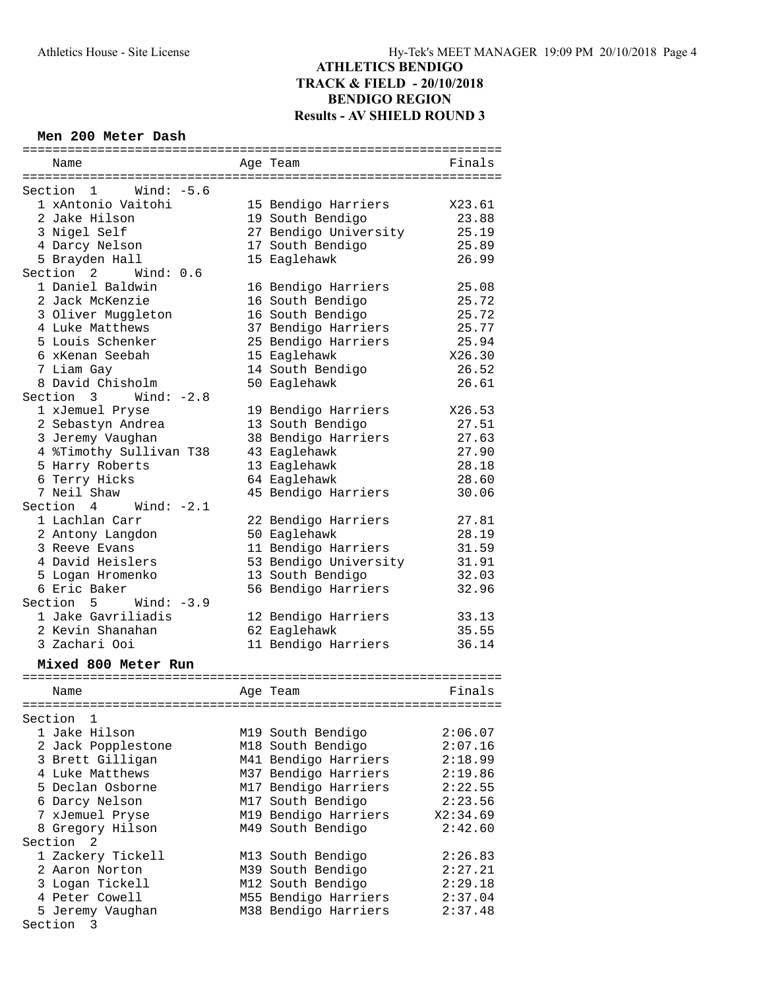#### **Men 200 Meter Dash**

|                          | :=================================== |          |
|--------------------------|--------------------------------------|----------|
| Name                     | Age Team                             | Finals   |
|                          |                                      |          |
| Section 1 Wind: -5.6     |                                      |          |
| 1 xAntonio Vaitohi       | 15 Bendigo Harriers                  | X23.61   |
| 2 Jake Hilson            | 19 South Bendigo                     | 23.88    |
| 3 Nigel Self             | 27 Bendigo University                | 25.19    |
| 4 Darcy Nelson           | 17 South Bendigo                     | 25.89    |
| 5 Brayden Hall           | 15 Eaglehawk                         | 26.99    |
| Section 2<br>Wind: 0.6   |                                      |          |
| 1 Daniel Baldwin         | 16 Bendigo Harriers                  | 25.08    |
| 2 Jack McKenzie          | 16 South Bendigo                     | 25.72    |
| 3 Oliver Muggleton       | 16 South Bendigo                     | 25.72    |
| 4 Luke Matthews          | 37 Bendigo Harriers                  | 25.77    |
| 5 Louis Schenker         | 25 Bendigo Harriers                  | 25.94    |
| 6 xKenan Seebah          | 15 Eaglehawk                         | X26.30   |
| 7 Liam Gay               | 14 South Bendigo                     | 26.52    |
| 8 David Chisholm         | 50 Eaglehawk                         | 26.61    |
| Section $3$ Wind: $-2.8$ |                                      |          |
|                          | 19 Bendigo Harriers                  | X26.53   |
| 1 xJemuel Pryse          |                                      |          |
| 2 Sebastyn Andrea        | 13 South Bendigo                     | 27.51    |
| 3 Jeremy Vaughan         | 38 Bendigo Harriers                  | 27.63    |
| 4 %Timothy Sullivan T38  | 43 Eaglehawk                         | 27.90    |
| 5 Harry Roberts          | 13 Eaglehawk                         | 28.18    |
| 6 Terry Hicks            | 64 Eaglehawk                         | 28.60    |
| 7 Neil Shaw              | 45 Bendigo Harriers                  | 30.06    |
| Section 4<br>Wind: -2.1  |                                      |          |
| 1 Lachlan Carr           | 22 Bendigo Harriers                  | 27.81    |
| 2 Antony Langdon         | 50 Eaglehawk                         | 28.19    |
| 3 Reeve Evans            | 11 Bendigo Harriers                  | 31.59    |
| 4 David Heislers         | 53 Bendigo University                | 31.91    |
| 5 Logan Hromenko         | 13 South Bendigo                     | 32.03    |
| 6 Eric Baker             | 56 Bendigo Harriers                  | 32.96    |
| $Section 5$ Wind: $-3.9$ |                                      |          |
| 1 Jake Gavriliadis       | 12 Bendigo Harriers                  | 33.13    |
| 2 Kevin Shanahan         | 62 Eaglehawk                         | 35.55    |
| 3 Zachari Ooi            | 11 Bendigo Harriers                  | 36.14    |
|                          |                                      |          |
| Mixed 800 Meter Run      |                                      |          |
|                          |                                      |          |
| Name                     | Age Team                             | Finals   |
|                          |                                      |          |
| Section<br>1             |                                      |          |
| 1 Jake Hilson            | M19 South Bendigo                    | 2:06.07  |
| 2 Jack Popplestone       | M18 South Bendigo                    | 2:07.16  |
| 3 Brett Gilligan         | M41 Bendigo Harriers                 | 2:18.99  |
| 4 Luke Matthews          | M37 Bendigo Harriers                 | 2:19.86  |
| 5 Declan Osborne         | M17 Bendigo Harriers                 | 2:22.55  |
| 6 Darcy Nelson           | M17 South Bendigo                    | 2:23.56  |
| 7 xJemuel Pryse          | M19 Bendigo Harriers                 | X2:34.69 |
| 8 Gregory Hilson         | M49 South Bendigo                    | 2:42.60  |
| Section<br>- 2           |                                      |          |
| 1 Zackery Tickell        | M13 South Bendigo                    | 2:26.83  |
| 2 Aaron Norton           | M39 South Bendigo                    | 2:27.21  |
| 3 Logan Tickell          | M12 South Bendigo                    | 2:29.18  |
|                          |                                      |          |
| 4 Peter Cowell           | M55 Bendigo Harriers                 | 2:37.04  |
| 5 Jeremy Vaughan         | M38 Bendigo Harriers                 | 2:37.48  |
| Section 3                |                                      |          |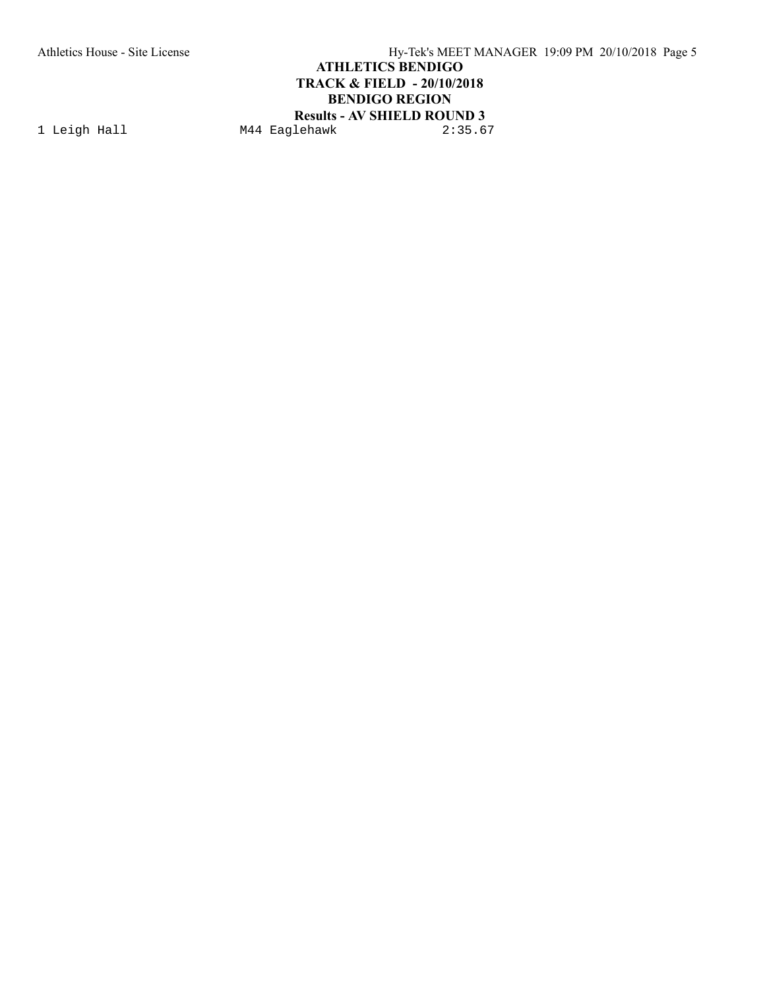Athletics House - Site License Hy-Tek's MEET MANAGER 19:09 PM 20/10/2018 Page 5 **ATHLETICS BENDIGO TRACK & FIELD - 20/10/2018 BENDIGO REGION Results - AV SHIELD ROUND 3**<br>1ehawk 2:35.67

1 Leigh Hall M44 Eaglehawk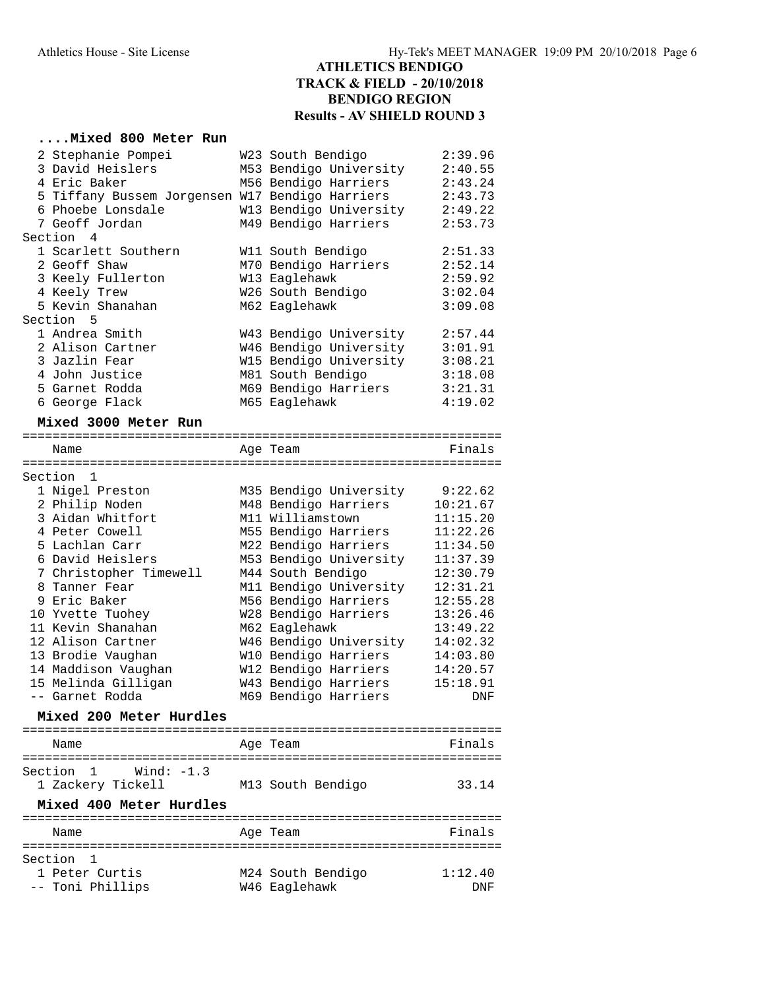#### **....Mixed 800 Meter Run**

| 2 Stephanie Pompei                              | W23 South Bendigo      | 2:39.96              |
|-------------------------------------------------|------------------------|----------------------|
| 3 David Heislers                                | M53 Bendigo University | 2:40.55              |
| 4 Eric Baker                                    | M56 Bendigo Harriers   | 2:43.24              |
| 5 Tiffany Bussem Jorgensen W17 Bendigo Harriers |                        | 2:43.73              |
| 6 Phoebe Lonsdale                               | W13 Bendigo University | 2:49.22              |
| 7 Geoff Jordan                                  | M49 Bendigo Harriers   | 2:53.73              |
| Section 4                                       |                        |                      |
| 1 Scarlett Southern                             | W11 South Bendigo      | 2:51.33              |
| 2 Geoff Shaw                                    | M70 Bendigo Harriers   | 2:52.14              |
| 3 Keely Fullerton                               | W13 Eaglehawk          | 2:59.92              |
| 4 Keely Trew                                    | W26 South Bendigo      | 3:02.04              |
| 5 Kevin Shanahan                                | M62 Eaglehawk          | 3:09.08              |
| Section 5                                       |                        |                      |
| 1 Andrea Smith                                  | W43 Bendigo University | 2:57.44              |
| 2 Alison Cartner                                | W46 Bendigo University | 3:01.91              |
| 3 Jazlin Fear                                   | W15 Bendigo University | 3:08.21              |
| 4 John Justice                                  | M81 South Bendigo      | 3:18.08              |
| 5 Garnet Rodda                                  | M69 Bendigo Harriers   | 3:21.31              |
| 6 George Flack                                  | M65 Eaglehawk          | 4:19.02              |
|                                                 |                        |                      |
| Mixed 3000 Meter Run                            |                        |                      |
| Name                                            |                        | Finals               |
|                                                 | Age Team               |                      |
| Section 1                                       |                        |                      |
| 1 Nigel Preston                                 | M35 Bendigo University | 9:22.62              |
| 2 Philip Noden                                  | M48 Bendigo Harriers   | 10:21.67             |
| 3 Aidan Whitfort                                | M11 Williamstown       | 11:15.20             |
| 4 Peter Cowell                                  | M55 Bendigo Harriers   | 11:22.26             |
| 5 Lachlan Carr                                  | M22 Bendigo Harriers   | 11:34.50             |
| 6 David Heislers                                |                        | 11:37.39             |
|                                                 | M53 Bendigo University |                      |
| 7 Christopher Timewell                          | M44 South Bendigo      | 12:30.79<br>12:31.21 |
| 8 Tanner Fear<br>9 Eric Baker                   | M11 Bendigo University |                      |
|                                                 | M56 Bendigo Harriers   | 12:55.28             |
| 10 Yvette Tuohey                                | W28 Bendigo Harriers   | 13:26.46             |
| 11 Kevin Shanahan                               | M62 Eaglehawk          | 13:49.22             |
| 12 Alison Cartner                               | W46 Bendigo University | 14:02.32             |
| 13 Brodie Vaughan                               | W10 Bendigo Harriers   | 14:03.80             |
| 14 Maddison Vaughan                             | W12 Bendigo Harriers   | 14:20.57             |
| 15 Melinda Gilligan                             | W43 Bendigo Harriers   | 15:18.91             |
| -- Garnet Rodda                                 | M69 Bendigo Harriers   | DNF                  |
| Mixed 200 Meter Hurdles                         |                        |                      |
| --------------------                            |                        |                      |
| Name                                            | Age Team               | Finals               |
|                                                 |                        |                      |
| Section 1 Wind: -1.3                            |                        |                      |
| 1 Zackery Tickell                               | M13 South Bendigo      | 33.14                |
| Mixed 400 Meter Hurdles                         |                        |                      |
|                                                 |                        |                      |
| Name<br>====================                    | Age Team               | Finals               |
| =============                                   |                        |                      |
| Section<br>1                                    |                        |                      |
| 1 Peter Curtis                                  | M24 South Bendigo      | 1:12.40              |

-- Toni Phillips M46 Eaglehawk DNF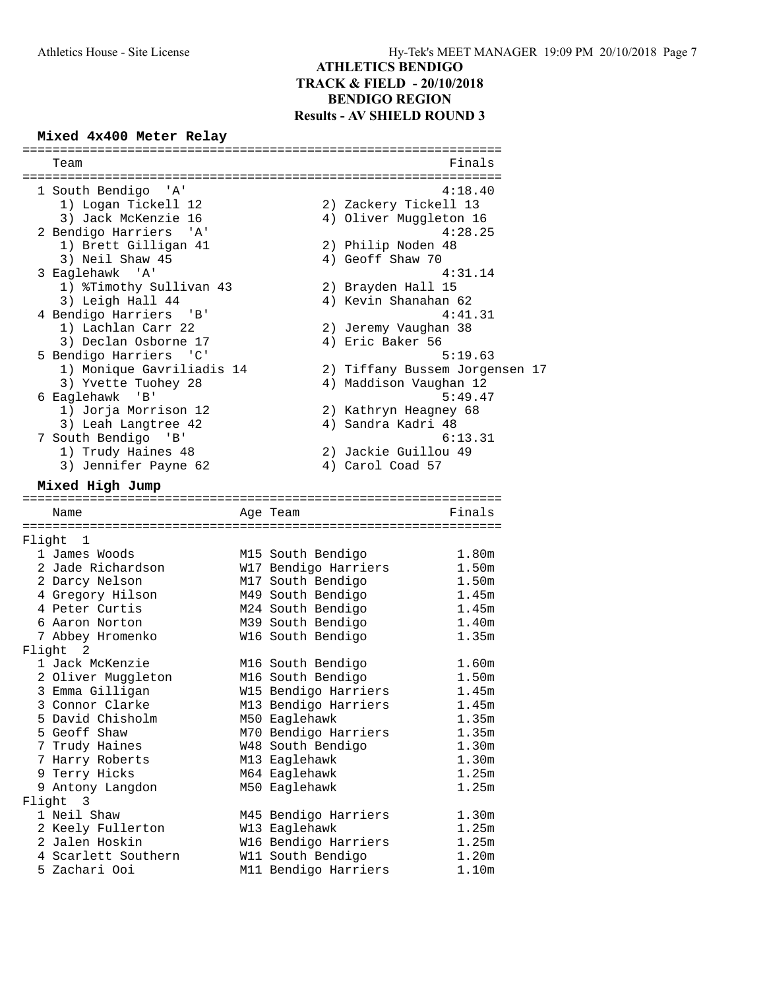# **Mixed 4x400 Meter Relay**

| Team                                                                    |                       | Finals                         |
|-------------------------------------------------------------------------|-----------------------|--------------------------------|
| 1 South Bendigo<br>'' A '                                               |                       | 4:18.40                        |
| 1) Logan Tickell 12                                                     | 2) Zackery Tickell 13 |                                |
| 3) Jack McKenzie 16                                                     |                       | 4) Oliver Muggleton 16         |
| 2 Bendigo Harriers 'A'                                                  |                       | 4:28.25                        |
| 1) Brett Gilligan 41                                                    | 2) Philip Noden 48    |                                |
| 3) Neil Shaw 45                                                         | 4) Geoff Shaw 70      |                                |
| 3 Eaglehawk 'A'                                                         |                       | 4:31.14                        |
| 1) %Timothy Sullivan 43                                                 | 2) Brayden Hall 15    |                                |
| 3) Leigh Hall 44                                                        | 4) Kevin Shanahan 62  |                                |
| 4 Bendigo Harriers 'B'                                                  |                       | 4:41.31                        |
| 1) Lachlan Carr 22                                                      | 2) Jeremy Vaughan 38  |                                |
| 3) Declan Osborne 17                                                    | 4) Eric Baker 56      |                                |
| 5 Bendigo Harriers<br>$\overline{\phantom{a}}$ $\overline{\phantom{a}}$ |                       | 5:19.63                        |
| 1) Monique Gavriliadis 14                                               |                       | 2) Tiffany Bussem Jorgensen 17 |
| 3) Yvette Tuohey 28                                                     |                       | 4) Maddison Vaughan 12         |
| 6 Eaglehawk 'B'                                                         |                       | 5:49.47                        |
| 1) Jorja Morrison 12                                                    | 2) Kathryn Heagney 68 |                                |
| 3) Leah Langtree 42                                                     | 4) Sandra Kadri 48    |                                |
| 7 South Bendigo 'B'                                                     |                       | 6:13.31                        |
| 1) Trudy Haines 48                                                      | 2) Jackie Guillou 49  |                                |
| 3) Jennifer Payne 62                                                    | 4) Carol Coad 57      |                                |
|                                                                         |                       |                                |
| Mixed High Jump                                                         |                       |                                |
| Name                                                                    | Age Team              | Finals                         |
|                                                                         |                       |                                |
| Flight 1                                                                |                       |                                |
| 1 James Woods                                                           | M15 South Bendigo     | 1.80m                          |
| 2 Jade Richardson                                                       | W17 Bendigo Harriers  | 1.50m                          |
| 2 Darcy Nelson                                                          | M17 South Bendigo     | 1.50 <sub>m</sub>              |
| 4 Gregory Hilson                                                        | M49 South Bendigo     | 1.45m                          |
| 4 Peter Curtis                                                          | M24 South Bendigo     | 1.45m                          |
| 6 Aaron Norton                                                          | M39 South Bendigo     | 1.40 <sub>m</sub>              |
| 7 Abbey Hromenko                                                        | W16 South Bendigo     | 1.35m                          |
| Flight 2                                                                |                       |                                |
| 1 Jack McKenzie                                                         | M16 South Bendigo     | 1.60m                          |
| 2 Oliver Muggleton                                                      | M16 South Bendigo     | 1.50 <sub>m</sub>              |
| 3 Emma Gilligan                                                         | W15 Bendigo Harriers  | 1.45m                          |
| 3 Connor Clarke                                                         | M13 Bendigo Harriers  | 1.45m                          |
| 5 David Chisholm                                                        | M50 Eaglehawk         | 1.35m                          |
| 5 Geoff Shaw                                                            | M70 Bendigo Harriers  | 1.35m                          |
| 7 Trudy Haines                                                          | W48 South Bendigo     | 1.30 <sub>m</sub>              |
| 7 Harry Roberts                                                         | M13 Eaglehawk         | 1.30m                          |
| 9 Terry Hicks                                                           | M64 Eaglehawk         | 1.25m                          |
| 9 Antony Langdon                                                        | M50 Eaglehawk         | 1.25m                          |
| Flight<br>- 3                                                           |                       |                                |
| 1 Neil Shaw                                                             | M45 Bendigo Harriers  | 1.30 <sub>m</sub>              |
| 2 Keely Fullerton                                                       | W13 Eaglehawk         | 1.25m                          |
| 2 Jalen Hoskin                                                          | W16 Bendigo Harriers  | 1.25m                          |
| 4 Scarlett Southern                                                     | W11 South Bendigo     | 1.20 <sub>m</sub>              |
| 5 Zachari Ooi                                                           | M11 Bendigo Harriers  | 1.10m                          |
|                                                                         |                       |                                |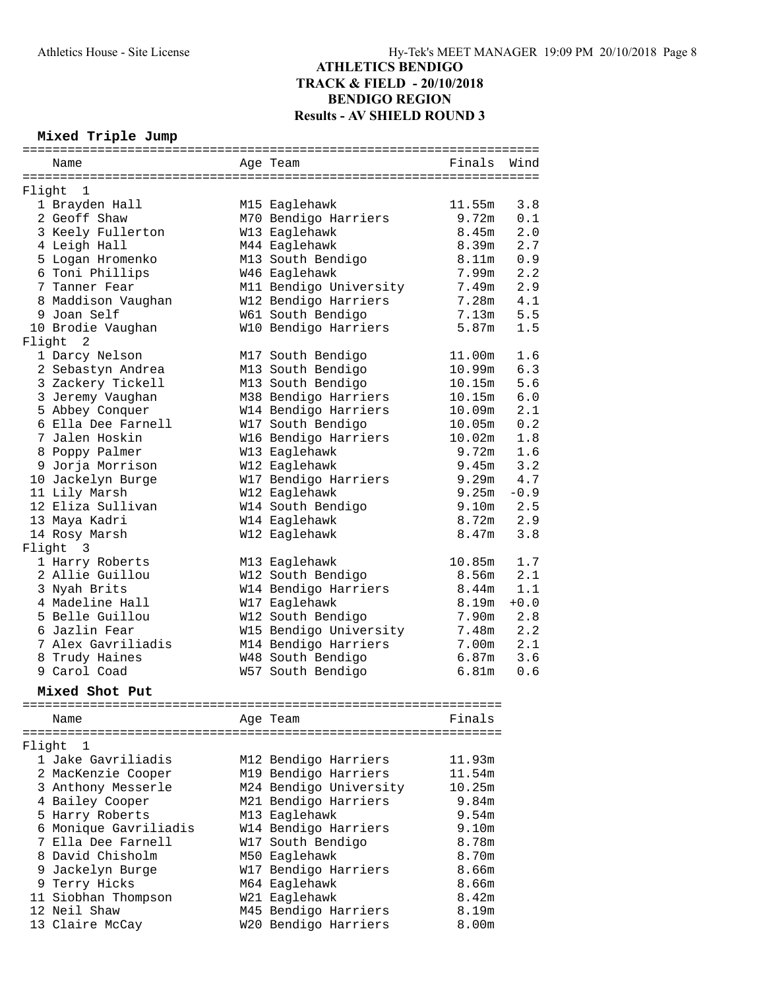#### **Mixed Triple Jump**

|        |                       | =============================<br>============ |                   |        |
|--------|-----------------------|-----------------------------------------------|-------------------|--------|
|        | Name                  | Age Team                                      | Finals            | Wind   |
| Flight | - 1                   |                                               |                   |        |
|        | 1 Brayden Hall        | M15 Eaglehawk                                 | 11.55m            | 3.8    |
|        | 2 Geoff Shaw          | M70 Bendigo Harriers                          | 9.72m             | 0.1    |
|        | 3 Keely Fullerton     | W13 Eaglehawk                                 | 8.45m             | 2.0    |
|        | 4 Leigh Hall          | M44 Eaglehawk                                 | 8.39m             | 2.7    |
|        | 5 Logan Hromenko      | M13 South Bendigo                             | 8.11m             | 0.9    |
|        | 6 Toni Phillips       | W46 Eaglehawk                                 | 7.99m             | 2.2    |
|        | 7 Tanner Fear         | M11 Bendigo University                        | 7.49m             | 2.9    |
|        | 8 Maddison Vaughan    | W12 Bendigo Harriers                          | 7.28m             | 4.1    |
|        | 9 Joan Self           | W61 South Bendigo                             | 7.13m             | 5.5    |
|        | 10 Brodie Vaughan     | W10 Bendigo Harriers                          | 5.87m             | 1.5    |
| Flight | 2                     |                                               |                   |        |
|        | 1 Darcy Nelson        | M17 South Bendigo                             | 11.00m            | 1.6    |
|        | 2 Sebastyn Andrea     | M13 South Bendigo                             | 10.99m            | 6.3    |
|        | 3 Zackery Tickell     | M13 South Bendigo                             | 10.15m            | 5.6    |
|        | 3 Jeremy Vaughan      | M38 Bendigo Harriers                          | 10.15m            | 6.0    |
|        | 5 Abbey Conquer       | W14 Bendigo Harriers                          | 10.09m            | 2.1    |
|        | 6 Ella Dee Farnell    | W17 South Bendigo                             | 10.05m            | 0.2    |
|        | 7 Jalen Hoskin        | W16 Bendigo Harriers                          | 10.02m            | 1.8    |
|        | 8 Poppy Palmer        | W13 Eaglehawk                                 | 9.72m             | 1.6    |
|        | 9 Jorja Morrison      | W12 Eaglehawk                                 | 9.45m             | 3.2    |
|        | 10 Jackelyn Burge     | W17 Bendigo Harriers                          | 9.29m             | 4.7    |
|        | 11 Lily Marsh         | W12 Eaglehawk                                 | 9.25m             | $-0.9$ |
|        | 12 Eliza Sullivan     | W14 South Bendigo                             | 9.10m             | 2.5    |
|        | 13 Maya Kadri         | W14 Eaglehawk                                 | 8.72m             | 2.9    |
|        | 14 Rosy Marsh         | W12 Eaglehawk                                 | 8.47m             | 3.8    |
|        | Flight 3              |                                               |                   |        |
|        | 1 Harry Roberts       | M13 Eaglehawk                                 | 10.85m            | 1.7    |
|        | 2 Allie Guillou       | W12 South Bendigo                             | 8.56m             | 2.1    |
|        | 3 Nyah Brits          | W14 Bendigo Harriers                          | 8.44 <sub>m</sub> | 1.1    |
|        | 4 Madeline Hall       | W17 Eaglehawk                                 | 8.19m             | $+0.0$ |
|        | 5 Belle Guillou       | W12 South Bendigo                             | 7.90m             | 2.8    |
|        | 6 Jazlin Fear         | W15 Bendigo University                        | 7.48m             | 2.2    |
|        | 7 Alex Gavriliadis    | M14 Bendigo Harriers                          | 7.00m             | 2.1    |
|        | 8 Trudy Haines        | W48 South Bendigo                             | 6.87m             | 3.6    |
|        | 9 Carol Coad          | W57 South Bendigo                             | 6.81m             | 0.6    |
|        | Mixed Shot Put        |                                               |                   |        |
|        | ------------          |                                               |                   |        |
|        | Name                  | Age Team                                      | Finals            |        |
| Flight | ı                     |                                               |                   |        |
|        | 1 Jake Gavriliadis    | M12 Bendigo Harriers                          | 11.93m            |        |
|        | 2 MacKenzie Cooper    | M19 Bendigo Harriers                          | 11.54m            |        |
|        | 3 Anthony Messerle    | M24 Bendigo University                        | 10.25m            |        |
|        | 4 Bailey Cooper       | M21 Bendigo Harriers                          | 9.84m             |        |
|        | 5 Harry Roberts       | M13 Eaglehawk                                 | 9.54m             |        |
|        | 6 Monique Gavriliadis | W14 Bendigo Harriers                          | 9.10m             |        |
|        | 7 Ella Dee Farnell    | W17 South Bendigo                             | 8.78m             |        |
|        | 8 David Chisholm      | M50 Eaglehawk                                 | 8.70m             |        |
|        | 9 Jackelyn Burge      | W17 Bendigo Harriers                          | 8.66m             |        |
|        | 9 Terry Hicks         | M64 Eaglehawk                                 | 8.66m             |        |
|        | 11 Siobhan Thompson   | W21 Eaglehawk                                 | 8.42m             |        |
|        | 12 Neil Shaw          | M45 Bendigo Harriers                          | 8.19m             |        |
|        | 13 Claire McCay       | W20 Bendigo Harriers                          | 8.00m             |        |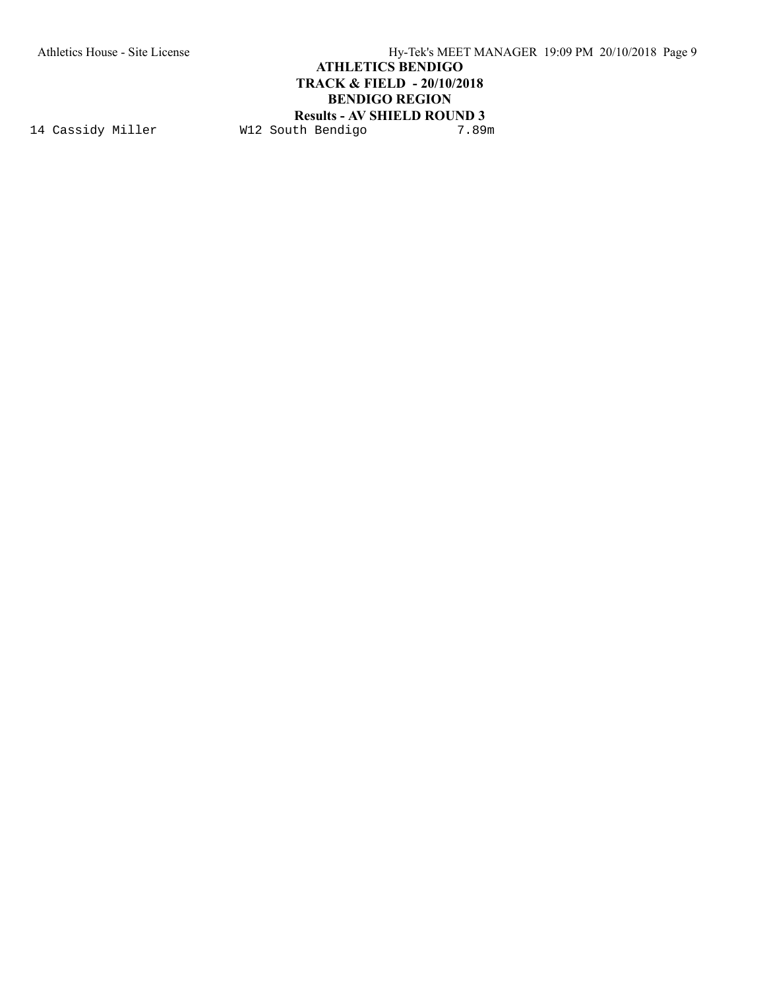Athletics House - Site License Hy-Tek's MEET MANAGER 19:09 PM 20/10/2018 Page 9

## **ATHLETICS BENDIGO TRACK & FIELD - 20/10/2018 BENDIGO REGION**

# **Results - AV SHIELD ROUND 3**<br>th Bendigo 7.89m

14 Cassidy Miller W12 South Bendigo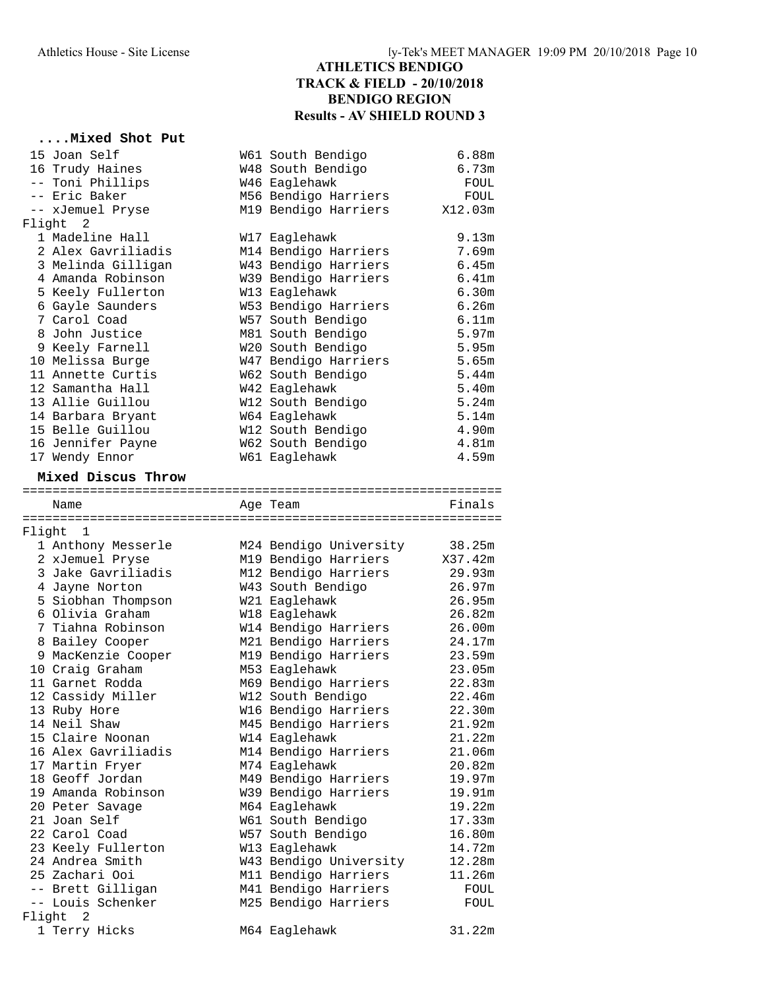#### **....Mixed Shot Put**

|        | 15 Joan Self                                | W61 South Bendigo                  | 6.88m                      |
|--------|---------------------------------------------|------------------------------------|----------------------------|
|        | 16 Trudy Haines                             | W48 South Bendigo                  | 6.73m                      |
|        | -- Toni Phillips                            | W46 Eaglehawk                      | FOUL                       |
|        | -- Eric Baker                               | M56 Bendigo Harriers               | FOUL                       |
|        | -- xJemuel Pryse                            | M19 Bendigo Harriers               | X12.03m                    |
|        | Flight 2                                    |                                    |                            |
|        | 1 Madeline Hall                             | W17 Eaglehawk                      | 9.13m                      |
|        | 2 Alex Gavriliadis                          | M14 Bendigo Harriers               | 7.69m                      |
|        | 3 Melinda Gilligan                          | W43 Bendigo Harriers               | 6.45m                      |
|        | 4 Amanda Robinson                           | W39 Bendigo Harriers               | 6.41m                      |
|        | 5 Keely Fullerton                           | W13 Eaglehawk                      | 6.30m                      |
|        | 6 Gayle Saunders                            | W53 Bendigo Harriers               | 6.26m                      |
|        | 7 Carol Coad                                | W57 South Bendigo                  | 6.11m                      |
|        | 8 John Justice                              | M81 South Bendigo                  | 5.97m                      |
|        | 9 Keely Farnell                             | W20 South Bendigo                  | 5.95m                      |
|        | 10 Melissa Burge                            | W47 Bendigo Harriers               | 5.65m                      |
|        | 11 Annette Curtis                           | W62 South Bendigo                  | 5.44m                      |
|        | 12 Samantha Hall                            | W42 Eaglehawk                      | 5.40 <sub>m</sub>          |
|        | 13 Allie Guillou                            | W12 South Bendigo                  | 5.24m                      |
|        | 14 Barbara Bryant                           | W64 Eaglehawk                      | 5.14m                      |
|        | 15 Belle Guillou                            | W12 South Bendigo                  | 4.90m                      |
|        | 16 Jennifer Payne                           | W62 South Bendigo<br>W61 Eaglehawk | 4.81 <sub>m</sub><br>4.59m |
|        | 17 Wendy Ennor                              |                                    |                            |
|        | Mixed Discus Throw                          |                                    |                            |
|        |                                             |                                    |                            |
|        | Name                                        | Age Team                           | Finals                     |
|        | Flight 1                                    |                                    |                            |
|        | 1 Anthony Messerle                          | M24 Bendigo University             | 38.25m                     |
|        | 2 xJemuel Pryse                             | M19 Bendigo Harriers               | X37.42m                    |
|        | 3 Jake Gavriliadis                          | M12 Bendigo Harriers               | 29.93m                     |
|        | 4 Jayne Norton                              | W43 South Bendigo                  | 26.97m                     |
|        | 5 Siobhan Thompson                          | W21 Eaglehawk                      | 26.95m                     |
|        | 6 Olivia Graham                             | W18 Eaglehawk                      | 26.82m                     |
|        | 7 Tiahna Robinson                           | W14 Bendigo Harriers               | 26.00m                     |
|        | 8 Bailey Cooper                             | M21 Bendigo Harriers               | 24.17m                     |
|        | 9 MacKenzie Cooper                          | M19 Bendigo Harriers               | 23.59m                     |
|        | 10 Craig Graham                             | M53 Eaglehawk                      | 23.05m                     |
|        | 11 Garnet Rodda                             | M69 Bendigo Harriers               | 22.83m                     |
|        | 12 Cassidy Miller                           | W12 South Bendigo                  | 22.46m                     |
|        | 13 Ruby Hore                                | W16 Bendigo Harriers               | 22.30m                     |
|        | 14 Neil Shaw                                | M45 Bendigo Harriers               | 21.92m                     |
|        | 15 Claire Noonan                            | W14 Eaglehawk                      | 21.22m                     |
|        | 16 Alex Gavriliadis                         | M14 Bendigo Harriers               | 21.06m                     |
|        | 17 Martin Fryer                             | M74 Eaglehawk                      | 20.82m                     |
|        | 18 Geoff Jordan                             | M49 Bendigo Harriers               | 19.97m                     |
|        | 19 Amanda Robinson                          | W39 Bendigo Harriers               | 19.91m                     |
|        | 20 Peter Savage                             | M64 Eaglehawk                      | 19.22m                     |
|        | 21 Joan Self                                | W61 South Bendigo                  | 17.33m                     |
|        | 22 Carol Coad                               | W57 South Bendigo                  | 16.80m                     |
|        | 23 Keely Fullerton                          | W13 Eaglehawk                      | 14.72m                     |
|        | 24 Andrea Smith                             | W43 Bendigo University             | 12.28m                     |
|        | 25 Zachari Ooi                              | M11 Bendigo Harriers               | 11.26m                     |
|        | -- Brett Gilligan                           | M41 Bendigo Harriers               | FOUL                       |
|        |                                             |                                    |                            |
|        | -- Louis Schenker                           | M25 Bendigo Harriers               | FOUL                       |
| Flight | $\overline{\phantom{0}}^2$<br>1 Terry Hicks | M64 Eaglehawk                      | 31.22m                     |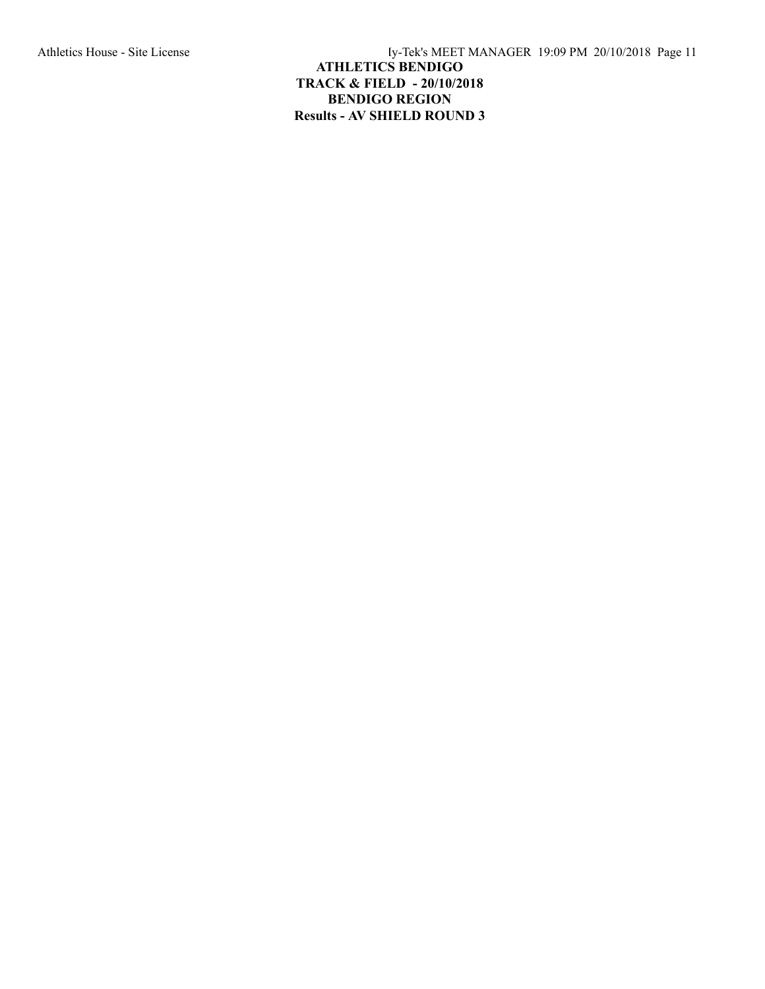Athletics House - Site License Hy-Tek's MEET MANAGER 19:09 PM 20/10/2018 Page 11

## **ATHLETICS BENDIGO TRACK & FIELD - 20/10/2018 BENDIGO REGION Results - AV SHIELD ROUND 3**